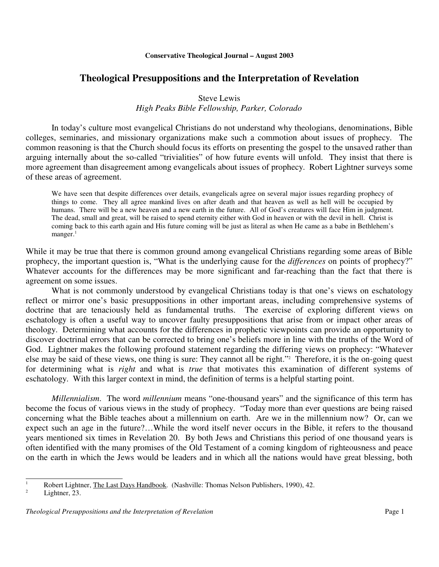# **Theological Presuppositions and the Interpretation of Revelation**

# Steve Lewis

# *High Peaks Bible Fellowship, Parker, Colorado*

In today's culture most evangelical Christians do not understand why theologians, denominations, Bible colleges, seminaries, and missionary organizations make such a commotion about issues of prophecy. The common reasoning is that the Church should focus its efforts on presenting the gospel to the unsaved rather than arguing internally about the so-called "trivialities" of how future events will unfold. They insist that there is more agreement than disagreement among evangelicals about issues of prophecy. Robert Lightner surveys some of these areas of agreement.

We have seen that despite differences over details, evangelicals agree on several major issues regarding prophecy of things to come. They all agree mankind lives on after death and that heaven as well as hell will be occupied by humans. There will be a new heaven and a new earth in the future. All of God's creatures will face Him in judgment. The dead, small and great, will be raised to spend eternity either with God in heaven or with the devil in hell. Christ is coming back to this earth again and His future coming will be just as literal as when He came as a babe in Bethlehem's manger.<sup>1</sup>

While it may be true that there is common ground among evangelical Christians regarding some areas of Bible prophecy, the important question is, "What is the underlying cause for the *differences* on points of prophecy?" Whatever accounts for the differences may be more significant and far-reaching than the fact that there is agreement on some issues.

What is not commonly understood by evangelical Christians today is that one's views on eschatology reflect or mirror one's basic presuppositions in other important areas, including comprehensive systems of doctrine that are tenaciously held as fundamental truths. The exercise of exploring different views on eschatology is often a useful way to uncover faulty presuppositions that arise from or impact other areas of theology. Determining what accounts for the differences in prophetic viewpoints can provide an opportunity to discover doctrinal errors that can be corrected to bring one's beliefs more in line with the truths of the Word of God. Lightner makes the following profound statement regarding the differing views on prophecy: "Whatever else may be said of these views, one thing is sure: They cannot all be right." <sup>2</sup> Therefore, it is the on-going quest for determining what is *right* and what is *true* that motivates this examination of different systems of eschatology. With this larger context in mind, the definition of terms is a helpful starting point.

*Millennialism*. The word *millennium* means "one-thousand years" and the significance of this term has become the focus of various views in the study of prophecy. "Today more than ever questions are being raised concerning what the Bible teaches about a millennium on earth. Are we in the millennium now? Or, can we expect such an age in the future?…While the word itself never occurs in the Bible, it refers to the thousand years mentioned six times in Revelation 20. By both Jews and Christians this period of one thousand years is often identified with the many promises of the Old Testament of a coming kingdom of righteousness and peace on the earth in which the Jews would be leaders and in which all the nations would have great blessing, both

Lightner, 23.

<sup>&</sup>lt;sup>1</sup> Robert Lightner, The Last Days Handbook. (Nashville: Thomas Nelson Publishers, 1990), 42.<br>1 ishtner.  $2^3$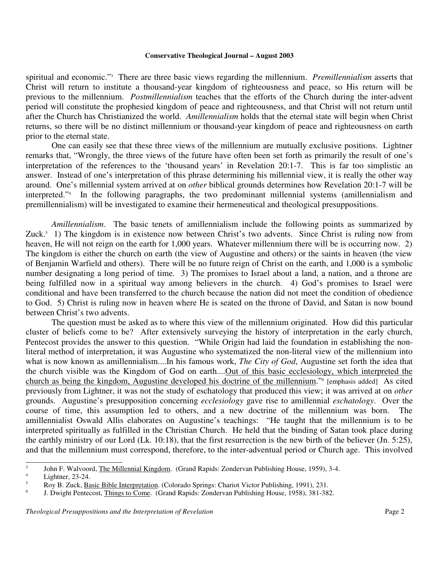spiritual and economic." <sup>3</sup> There are three basic views regarding the millennium. *Premillennialism* asserts that Christ will return to institute a thousand-year kingdom of righteousness and peace, so His return will be previous to the millennium. *Postmillennialism* teaches that the efforts of the Church during the inter-advent period will constitute the prophesied kingdom of peace and righteousness, and that Christ will not return until after the Church has Christianized the world. *Amillennialism* holds that the eternal state will begin when Christ returns, so there will be no distinct millennium or thousand-year kingdom of peace and righteousness on earth prior to the eternal state.

One can easily see that these three views of the millennium are mutually exclusive positions. Lightner remarks that, "Wrongly, the three views of the future have often been set forth as primarily the result of one's interpretation of the references to the 'thousand years' in Revelation 20:1-7. This is far too simplistic an answer. Instead of one's interpretation of this phrase determining his millennial view, it is really the other way around. One's millennial system arrived at on *other* biblical grounds determines how Revelation 20:1-7 will be interpreted." 4 In the following paragraphs, the two predominant millennial systems (amillennialism and premillennialism) will be investigated to examine their hermeneutical and theological presuppositions.

*Amillennialism*. The basic tenets of amillennialism include the following points as summarized by Zuck. <sup>5</sup> 1) The kingdom is in existence now between Christ's two advents. Since Christ is ruling now from heaven, He will not reign on the earth for 1,000 years. Whatever millennium there will be is occurring now. 2) The kingdom is either the church on earth (the view of Augustine and others) or the saints in heaven (the view of Benjamin Warfield and others). There will be no future reign of Christ on the earth, and 1,000 is a symbolic number designating a long period of time. 3) The promises to Israel about a land, a nation, and a throne are being fulfilled now in a spiritual way among believers in the church. 4) God's promises to Israel were conditional and have been transferred to the church because the nation did not meet the condition of obedience to God. 5) Christ is ruling now in heaven where He is seated on the throne of David, and Satan is now bound between Christ's two advents.

The question must be asked as to where this view of the millennium originated. How did this particular cluster of beliefs come to be? After extensively surveying the history of interpretation in the early church, Pentecost provides the answer to this question. "While Origin had laid the foundation in establishing the nonliteral method of interpretation, it was Augustine who systematized the non-literal view of the millennium into what is now known as amillennialism....In his famous work, *The City of God*, Augustine set forth the idea that the church visible was the Kingdom of God on earth....Out of this basic ecclesiology, which interpreted the church as being the kingdom, Augustine developed his doctrine of the millennium."<sup>6</sup> [emphasis added] As cited previously from Lightner, it was not the study of eschatology that produced this view; it was arrived at on *other* grounds. Augustine's presupposition concerning *ecclesiology* gave rise to amillennial *eschatology*. Over the course of time, this assumption led to others, and a new doctrine of the millennium was born. The amillennialist Oswald Allis elaborates on Augustine's teachings: "He taught that the millennium is to be interpreted spiritually as fulfilled in the Christian Church. He held that the binding of Satan took place during the earthly ministry of our Lord (Lk. 10:18), that the first resurrection is the new birth of the believer (Jn. 5:25), and that the millennium must correspond, therefore, to the inter-adventual period or Church age. This involved

<sup>3</sup> John F. Walvoord, The Millennial Kingdom. (Grand Rapids: Zondervan Publishing House, 1959), 3-4.

 $\frac{4}{5}$  Lightner, 23-24.

<sup>5</sup> Roy B. Zuck, Basic Bible Interpretation. (Colorado Springs: Chariot Victor Publishing, 1991), 231.

<sup>6</sup> J. Dwight Pentecost, Things to Come. (Grand Rapids: Zondervan Publishing House, 1958), 381-382.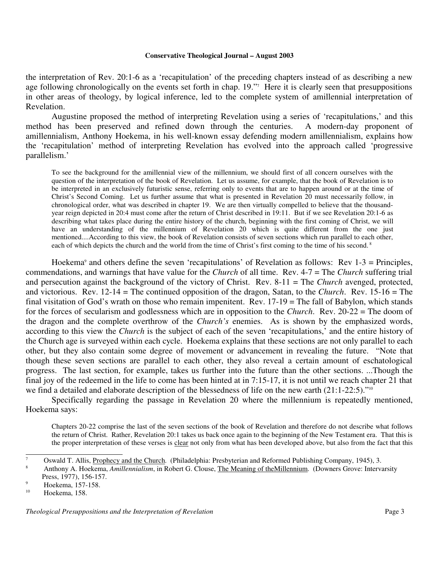the interpretation of Rev. 20:1-6 as a 'recapitulation' of the preceding chapters instead of as describing a new age following chronologically on the events set forth in chap. 19." Here it is clearly seen that presuppositions in other areas of theology, by logical inference, led to the complete system of amillennial interpretation of Revelation.

Augustine proposed the method of interpreting Revelation using a series of 'recapitulations,' and this method has been preserved and refined down through the centuries. A modern-day proponent of amillennialism, Anthony Hoekema, in his well-known essay defending modern amillennialism, explains how the 'recapitulation' method of interpreting Revelation has evolved into the approach called 'progressive parallelism.'

To see the background for the amillennial view of the millennium, we should first of all concern ourselves with the question of the interpretation of the book of Revelation. Let us assume, for example, that the book of Revelation is to be interpreted in an exclusively futuristic sense, referring only to events that are to happen around or at the time of Christ's Second Coming. Let us further assume that what is presented in Revelation 20 must necessarily follow, in chronological order, what was described in chapter 19. We are then virtually compelled to believe that the thousandyear reign depicted in 20:4 must come after the return of Christ described in 19:11. But if we see Revelation 20:1-6 as describing what takes place during the entire history of the church, beginning with the first coming of Christ, we will have an understanding of the millennium of Revelation 20 which is quite different from the one just mentioned....According to this view, the book of Revelation consists of seven sections which run parallel to each other, each of which depicts the church and the world from the time of Christ's first coming to the time of his second.<sup>8</sup>

Hoekema <sup>9</sup> and others define the seven 'recapitulations' of Revelation as follows: Rev 1-3 = Principles, commendations, and warnings that have value for the *Church* of all time. Rev. 4-7 = The *Church* suffering trial and persecution against the background of the victory of Christ. Rev. 8-11 = The *Church* avenged, protected, and victorious. Rev. 12-14 = The continued opposition of the dragon, Satan, to the *Church*. Rev. 15-16 = The final visitation of God's wrath on those who remain impenitent. Rev. 17-19 = The fall of Babylon, which stands for the forces of secularism and godlessness which are in opposition to the *Church*. Rev. 20-22 = The doom of the dragon and the complete overthrow of the *Church's* enemies. As is shown by the emphasized words, according to this view the *Church* is the subject of each of the seven 'recapitulations,' and the entire history of the Church age is surveyed within each cycle. Hoekema explains that these sections are not only parallel to each other, but they also contain some degree of movement or advancement in revealing the future. "Note that though these seven sections are parallel to each other, they also reveal a certain amount of eschatological progress. The last section, for example, takes us further into the future than the other sections. ...Though the final joy of the redeemed in the life to come has been hinted at in 7:15-17, it is not until we reach chapter 21 that we find a detailed and elaborate description of the blessedness of life on the new earth (21:1-22:5)."<sup>10</sup>

Specifically regarding the passage in Revelation 20 where the millennium is repeatedly mentioned, Hoekema says:

Chapters 20-22 comprise the last of the seven sections of the book of Revelation and therefore do not describe what follows the return of Christ. Rather, Revelation 20:1 takes us back once again to the beginning of the New Testament era. That this is the proper interpretation of these verses is clear not only from what has been developed above, but also from the fact that this

<sup>&</sup>lt;sup>7</sup> Oswald T. Allis, Prophecy and the Church. (Philadelphia: Presbyterian and Reformed Publishing Company, 1945), 3.

<sup>8</sup> Anthony A. Hoekema, *Amillennialism*, in Robert G. Clouse, The Meaning of theMillennium. (Downers Grove: Intervarsity Press, 1977), 156-157.

 $\frac{9}{10}$  Hoekema, 157-158.

Hoekema, 158.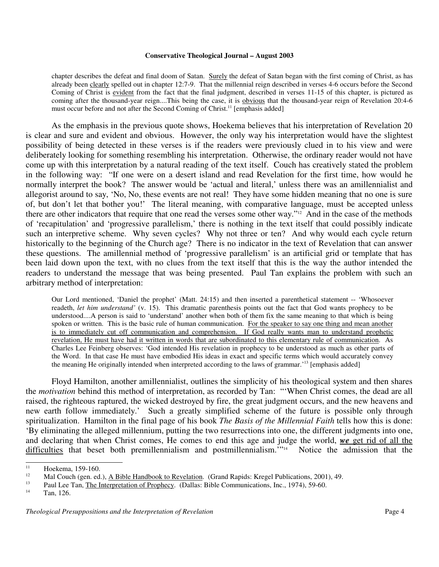chapter describes the defeat and final doom of Satan. Surely the defeat of Satan began with the first coming of Christ, as has already been clearly spelled out in chapter 12:7-9. That the millennial reign described in verses 4-6 occurs before the Second Coming of Christ is evident from the fact that the final judgment, described in verses 11-15 of this chapter, is pictured as coming after the thousand-year reign....This being the case, it is obvious that the thousand-year reign of Revelation 20:4-6 must occur before and not after the Second Coming of Christ.<sup>11</sup> [emphasis added]

As the emphasis in the previous quote shows, Hoekema believes that his interpretation of Revelation 20 is clear and sure and evident and obvious. However, the only way his interpretation would have the slightest possibility of being detected in these verses is if the readers were previously clued in to his view and were deliberately looking for something resembling his interpretation. Otherwise, the ordinary reader would not have come up with this interpretation by a natural reading of the text itself. Couch has creatively stated the problem in the following way: "If one were on a desert island and read Revelation for the first time, how would he normally interpret the book? The answer would be 'actual and literal,' unless there was an amillennialist and allegorist around to say, 'No, No, these events are not real! They have some hidden meaning that no one is sure of, but don't let that bother you!' The literal meaning, with comparative language, must be accepted unless there are other indicators that require that one read the verses some other way." <sup>12</sup> And in the case of the methods of 'recapitulation' and 'progressive parallelism,' there is nothing in the text itself that could possibly indicate such an interpretive scheme. Why seven cycles? Why not three or ten? And why would each cycle return historically to the beginning of the Church age? There is no indicator in the text of Revelation that can answer these questions. The amillennial method of 'progressive parallelism' is an artificial grid or template that has been laid down upon the text, with no clues from the text itself that this is the way the author intended the readers to understand the message that was being presented. Paul Tan explains the problem with such an arbitrary method of interpretation:

Our Lord mentioned, 'Daniel the prophet' (Matt. 24:15) and then inserted a parenthetical statement -- 'Whosoever readeth, *let him understand'* (v. 15). This dramatic parenthesis points out the fact that God wants prophecy to be understood....A person is said to 'understand' another when both of them fix the same meaning to that which is being spoken or written. This is the basic rule of human communication. For the speaker to say one thing and mean another is to immediately cut off communication and comprehension. If God really wants man to understand prophetic revelation, He must have had it written in words that are subordinated to this elementary rule of communication. As Charles Lee Feinberg observes: 'God intended His revelation in prophecy to be understood as much as other parts of the Word. In that case He must have embodied His ideas in exact and specific terms which would accurately convey the meaning He originally intended when interpreted according to the laws of grammar.<sup>'13</sup> [emphasis added]

Floyd Hamilton, another amillennialist, outlines the simplicity of his theological system and then shares the *motivation* behind this method of interpretation, as recorded by Tan: "'When Christ comes, the dead are all raised, the righteous raptured, the wicked destroyed by fire, the great judgment occurs, and the new heavens and new earth follow immediately.' Such a greatly simplified scheme of the future is possible only through spiritualization. Hamilton in the final page of his book *The Basis of the Millennial Faith* tells how this is done: 'By eliminating the alleged millennium, putting the two resurrections into one, the different judgments into one, and declaring that when Christ comes, He comes to end this age and judge the world, *we* get rid of all the difficulties that beset both premillennialism and postmillennialism.<sup>'"14</sup> Notice the admission that the

<sup>&</sup>lt;sup>11</sup> Hoekema, 159-160.

<sup>&</sup>lt;sup>12</sup> Mal Couch (gen. ed.), <u>A Bible Handbook to Revelation</u>. (Grand Rapids: Kregel Publications, 2001), 49.

<sup>&</sup>lt;sup>13</sup> Paul Lee Tan, <u>The Interpretation of Prophecy</u>. (Dallas: Bible Communications, Inc., 1974), 59-60.

Tan, 126.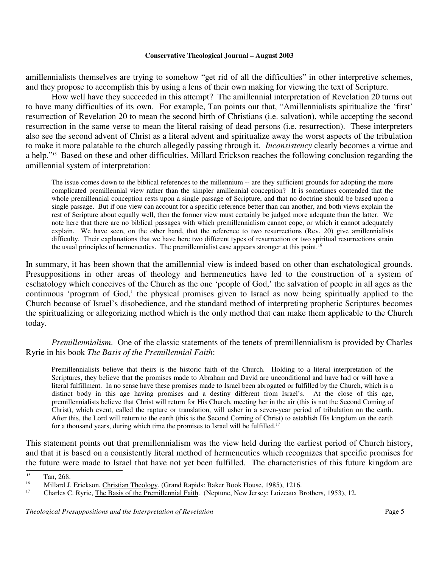amillennialists themselves are trying to somehow "get rid of all the difficulties" in other interpretive schemes, and they propose to accomplish this by using a lens of their own making for viewing the text of Scripture.

How well have they succeeded in this attempt? The amillennial interpretation of Revelation 20 turns out to have many difficulties of its own. For example, Tan points out that, "Amillennialists spiritualize the 'first' resurrection of Revelation 20 to mean the second birth of Christians (i.e. salvation), while accepting the second resurrection in the same verse to mean the literal raising of dead persons (i.e. resurrection). These interpreters also see the second advent of Christ as a literal advent and spiritualize away the worst aspects of the tribulation to make it more palatable to the church allegedly passing through it. *Inconsistency* clearly becomes a virtue and a help." <sup>15</sup> Based on these and other difficulties, Millard Erickson reaches the following conclusion regarding the amillennial system of interpretation:

The issue comes down to the biblical references to the millennium -- are they sufficient grounds for adopting the more complicated premillennial view rather than the simpler amillennial conception? It is sometimes contended that the whole premillennial conception rests upon a single passage of Scripture, and that no doctrine should be based upon a single passage. But if one view can account for a specific reference better than can another, and both views explain the rest of Scripture about equally well, then the former view must certainly be judged more adequate than the latter. We note here that there are no biblical passages with which premillennialism cannot cope, or which it cannot adequately explain. We have seen, on the other hand, that the reference to two resurrections (Rev. 20) give amillennialists difficulty. Their explanations that we have here two different types of resurrection or two spiritual resurrections strain the usual principles of hermeneutics. The premillennialist case appears stronger at this point.<sup>16</sup>

In summary, it has been shown that the amillennial view is indeed based on other than eschatological grounds. Presuppositions in other areas of theology and hermeneutics have led to the construction of a system of eschatology which conceives of the Church as the one 'people of God,' the salvation of people in all ages as the continuous 'program of God,' the physical promises given to Israel as now being spiritually applied to the Church because of Israel's disobedience, and the standard method of interpreting prophetic Scriptures becomes the spiritualizing or allegorizing method which is the only method that can make them applicable to the Church today.

*Premillennialism*. One of the classic statements of the tenets of premillennialism is provided by Charles Ryrie in his book *The Basis of the Premillennial Faith*:

Premillennialists believe that theirs is the historic faith of the Church. Holding to a literal interpretation of the Scriptures, they believe that the promises made to Abraham and David are unconditional and have had or will have a literal fulfillment. In no sense have these promises made to Israel been abrogated or fulfilled by the Church, which is a distinct body in this age having promises and a destiny different from Israel's. At the close of this age, premillennialists believe that Christ will return for His Church, meeting her in the air (this is not the Second Coming of Christ), which event, called the rapture or translation, will usher in a seven-year period of tribulation on the earth. After this, the Lord will return to the earth (this is the Second Coming of Christ) to establish His kingdom on the earth for a thousand years, during which time the promises to Israel will be fulfilled.<sup>17</sup>

This statement points out that premillennialism was the view held during the earliest period of Church history, and that it is based on a consistently literal method of hermeneutics which recognizes that specific promises for the future were made to Israel that have not yet been fulfilled. The characteristics of this future kingdom are

<sup>&</sup>lt;sup>15</sup> Tan, 268.

<sup>&</sup>lt;sup>16</sup> Millard J. Erickson, Christian Theology. (Grand Rapids: Baker Book House, 1985), 1216.<br><sup>17</sup> Charles C. Byrie, The Basis of the Premillennial Eaith. (Neptune, New Jersey: Loizeaux B.

<sup>17</sup> Charles C. Ryrie, The Basis of the Premillennial Faith. (Neptune, New Jersey: Loizeaux Brothers, 1953), 12.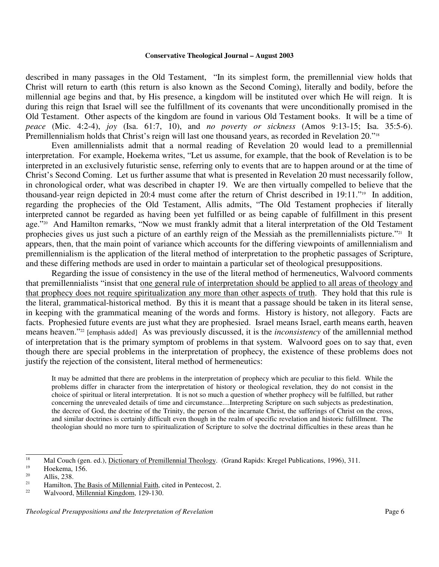described in many passages in the Old Testament, "In its simplest form, the premillennial view holds that Christ will return to earth (this return is also known as the Second Coming), literally and bodily, before the millennial age begins and that, by His presence, a kingdom will be instituted over which He will reign. It is during this reign that Israel will see the fulfillment of its covenants that were unconditionally promised in the Old Testament. Other aspects of the kingdom are found in various Old Testament books. It will be a time of *peace* (Mic. 4:2-4), *joy* (Isa. 61:7, 10), and *no poverty or sickness* (Amos 9:13-15; Isa. 35:5-6). Premillennialism holds that Christ's reign will last one thousand years, as recorded in Revelation 20."<sup>18</sup>

Even amillennialists admit that a normal reading of Revelation 20 would lead to a premillennial interpretation. For example, Hoekema writes, "Let us assume, for example, that the book of Revelation is to be interpreted in an exclusively futuristic sense, referring only to events that are to happen around or at the time of Christ's Second Coming. Let us further assume that what is presented in Revelation 20 must necessarily follow, in chronological order, what was described in chapter 19. We are then virtually compelled to believe that the thousand-year reign depicted in 20:4 must come after the return of Christ described in 19:11." 19 In addition, regarding the prophecies of the Old Testament, Allis admits, "The Old Testament prophecies if literally interpreted cannot be regarded as having been yet fulfilled or as being capable of fulfillment in this present age." <sup>20</sup> And Hamilton remarks, "Now we must frankly admit that a literal interpretation of the Old Testament prophecies gives us just such a picture of an earthly reign of the Messiah as the premillennialists picture."<sup>21</sup> It appears, then, that the main point of variance which accounts for the differing viewpoints of amillennialism and premillennialism is the application of the literal method of interpretation to the prophetic passages of Scripture, and these differing methods are used in order to maintain a particular set of theological presuppositions.

Regarding the issue of consistency in the use of the literal method of hermeneutics, Walvoord comments that premillennialists "insist that one general rule of interpretation should be applied to all areas of theology and that prophecy does not require spiritualization any more than other aspects of truth. They hold that this rule is the literal, grammatical-historical method. By this it is meant that a passage should be taken in its literal sense, in keeping with the grammatical meaning of the words and forms. History is history, not allegory. Facts are facts. Prophesied future events are just what they are prophesied. Israel means Israel, earth means earth, heaven means heaven." 22 [emphasis added] As was previously discussed, it is the *inconsistency* of the amillennial method of interpretation that is the primary symptom of problems in that system. Walvoord goes on to say that, even though there are special problems in the interpretation of prophecy, the existence of these problems does not justify the rejection of the consistent, literal method of hermeneutics:

It may be admitted that there are problems in the interpretation of prophecy which are peculiar to this field. While the problems differ in character from the interpretation of history or theological revelation, they do not consist in the choice of spiritual or literal interpretation. It is not so much a question of whether prophecy will be fulfilled, but rather concerning the unrevealed details of time and circumstance....Interpreting Scripture on such subjects as predestination, the decree of God, the doctrine of the Trinity, the person of the incarnate Christ, the sufferings of Christ on the cross, and similar doctrines is certainly difficult even though in the realm of specific revelation and historic fulfillment. The theologian should no more turn to spiritualization of Scripture to solve the doctrinal difficulties in these areas than he

<sup>&</sup>lt;sup>18</sup> Mal Couch (gen. ed.), <u>Dictionary of Premillennial Theology</u>. (Grand Rapids: Kregel Publications, 1996), 311.

 $19$  Hoekema, 156.

 $\frac{20}{21}$  Allis, 238.

<sup>&</sup>lt;sup>21</sup> Hamilton, <u>The Basis of Millennial Faith</u>, cited in Pentecost, 2.<br><sup>22</sup> Welvesed Millennial *Vingdom*, 120, 130

<sup>22</sup> Walvoord, Millennial Kingdom, 129-130.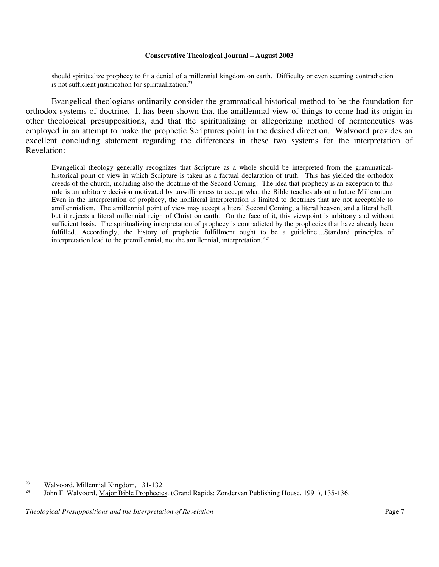should spiritualize prophecy to fit a denial of a millennial kingdom on earth. Difficulty or even seeming contradiction is not sufficient justification for spiritualization.<sup>23</sup>

Evangelical theologians ordinarily consider the grammatical-historical method to be the foundation for orthodox systems of doctrine. It has been shown that the amillennial view of things to come had its origin in other theological presuppositions, and that the spiritualizing or allegorizing method of hermeneutics was employed in an attempt to make the prophetic Scriptures point in the desired direction. Walvoord provides an excellent concluding statement regarding the differences in these two systems for the interpretation of Revelation:

Evangelical theology generally recognizes that Scripture as a whole should be interpreted from the grammaticalhistorical point of view in which Scripture is taken as a factual declaration of truth. This has yielded the orthodox creeds of the church, including also the doctrine of the Second Coming. The idea that prophecy is an exception to this rule is an arbitrary decision motivated by unwillingness to accept what the Bible teaches about a future Millennium. Even in the interpretation of prophecy, the nonliteral interpretation is limited to doctrines that are not acceptable to amillennialism. The amillennial point of view may accept a literal Second Coming, a literal heaven, and a literal hell, but it rejects a literal millennial reign of Christ on earth. On the face of it, this viewpoint is arbitrary and without sufficient basis. The spiritualizing interpretation of prophecy is contradicted by the prophecies that have already been fulfilled....Accordingly, the history of prophetic fulfillment ought to be a guideline....Standard principles of interpretation lead to the premillennial, not the amillennial, interpretation." 24

<sup>23</sup> Walvoord, Millennial Kingdom, 131-132.

<sup>24</sup> John F. Walvoord, Major Bible Prophecies. (Grand Rapids: Zondervan Publishing House, 1991), 135-136.